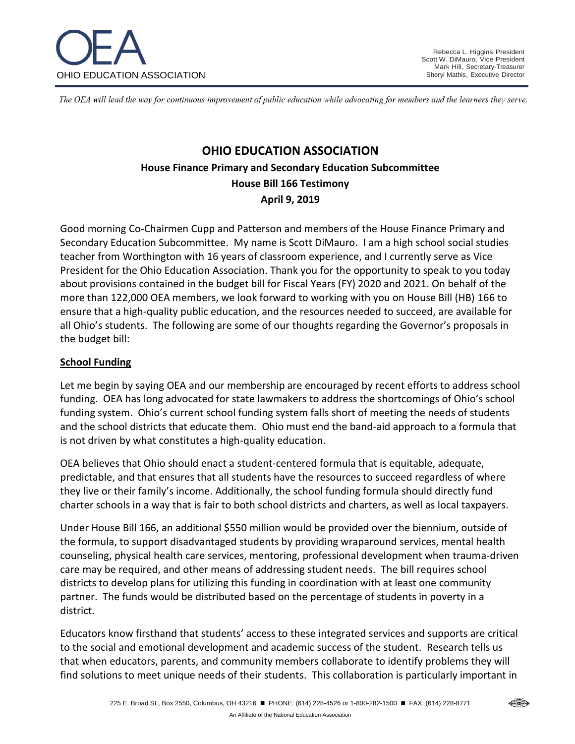

The OEA will lead the way for continuous improvement of public education while advocating for members and the learners they serve.

# **OHIO EDUCATION ASSOCIATION House Finance Primary and Secondary Education Subcommittee House Bill 166 Testimony April 9, 2019**

Good morning Co-Chairmen Cupp and Patterson and members of the House Finance Primary and Secondary Education Subcommittee. My name is Scott DiMauro. I am a high school social studies teacher from Worthington with 16 years of classroom experience, and I currently serve as Vice President for the Ohio Education Association. Thank you for the opportunity to speak to you today about provisions contained in the budget bill for Fiscal Years (FY) 2020 and 2021. On behalf of the more than 122,000 OEA members, we look forward to working with you on House Bill (HB) 166 to ensure that a high-quality public education, and the resources needed to succeed, are available for all Ohio's students. The following are some of our thoughts regarding the Governor's proposals in the budget bill:

#### **School Funding**

Let me begin by saying OEA and our membership are encouraged by recent efforts to address school funding. OEA has long advocated for state lawmakers to address the shortcomings of Ohio's school funding system. Ohio's current school funding system falls short of meeting the needs of students and the school districts that educate them. Ohio must end the band-aid approach to a formula that is not driven by what constitutes a high-quality education.

OEA believes that Ohio should enact a student-centered formula that is equitable, adequate, predictable, and that ensures that all students have the resources to succeed regardless of where they live or their family's income. Additionally, the school funding formula should directly fund charter schools in a way that is fair to both school districts and charters, as well as local taxpayers.

Under House Bill 166, an additional \$550 million would be provided over the biennium, outside of the formula, to support disadvantaged students by providing wraparound services, mental health counseling, physical health care services, mentoring, professional development when trauma-driven care may be required, and other means of addressing student needs. The bill requires school districts to develop plans for utilizing this funding in coordination with at least one community partner. The funds would be distributed based on the percentage of students in poverty in a district.

Educators know firsthand that students' access to these integrated services and supports are critical to the social and emotional development and academic success of the student. Research tells us that when educators, parents, and community members collaborate to identify problems they will find solutions to meet unique needs of their students. This collaboration is particularly important in

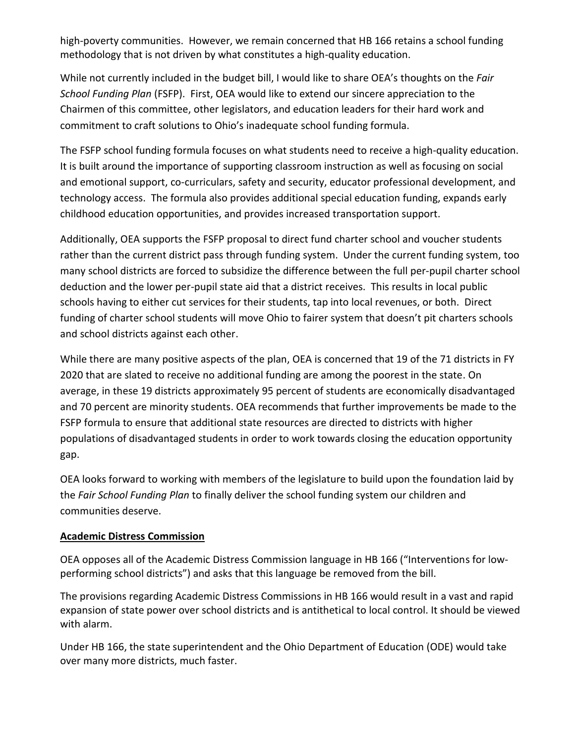high-poverty communities. However, we remain concerned that HB 166 retains a school funding methodology that is not driven by what constitutes a high-quality education.

While not currently included in the budget bill, I would like to share OEA's thoughts on the *Fair School Funding Plan* (FSFP). First, OEA would like to extend our sincere appreciation to the Chairmen of this committee, other legislators, and education leaders for their hard work and commitment to craft solutions to Ohio's inadequate school funding formula.

The FSFP school funding formula focuses on what students need to receive a high-quality education. It is built around the importance of supporting classroom instruction as well as focusing on social and emotional support, co-curriculars, safety and security, educator professional development, and technology access. The formula also provides additional special education funding, expands early childhood education opportunities, and provides increased transportation support.

Additionally, OEA supports the FSFP proposal to direct fund charter school and voucher students rather than the current district pass through funding system. Under the current funding system, too many school districts are forced to subsidize the difference between the full per-pupil charter school deduction and the lower per-pupil state aid that a district receives. This results in local public schools having to either cut services for their students, tap into local revenues, or both. Direct funding of charter school students will move Ohio to fairer system that doesn't pit charters schools and school districts against each other.

While there are many positive aspects of the plan, OEA is concerned that 19 of the 71 districts in FY 2020 that are slated to receive no additional funding are among the poorest in the state. On average, in these 19 districts approximately 95 percent of students are economically disadvantaged and 70 percent are minority students. OEA recommends that further improvements be made to the FSFP formula to ensure that additional state resources are directed to districts with higher populations of disadvantaged students in order to work towards closing the education opportunity gap.

OEA looks forward to working with members of the legislature to build upon the foundation laid by the *Fair School Funding Plan* to finally deliver the school funding system our children and communities deserve.

#### **Academic Distress Commission**

OEA opposes all of the Academic Distress Commission language in HB 166 ("Interventions for lowperforming school districts") and asks that this language be removed from the bill.

The provisions regarding Academic Distress Commissions in HB 166 would result in a vast and rapid expansion of state power over school districts and is antithetical to local control. It should be viewed with alarm.

Under HB 166, the state superintendent and the Ohio Department of Education (ODE) would take over many more districts, much faster.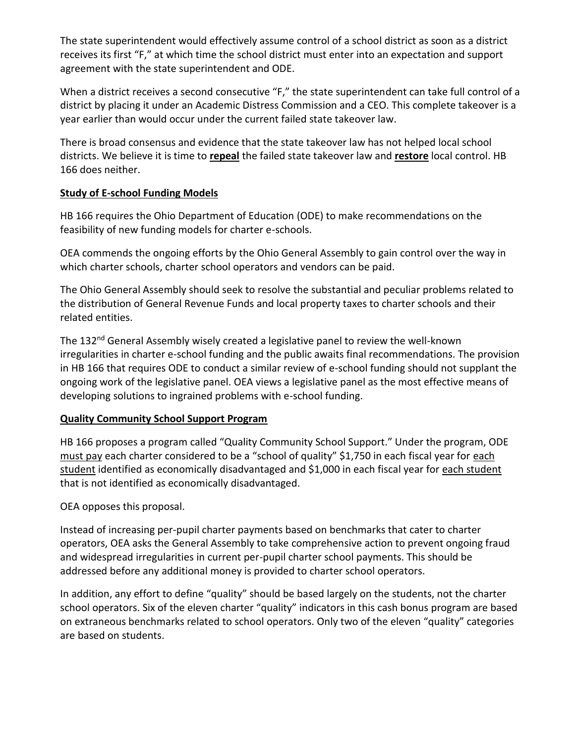The state superintendent would effectively assume control of a school district as soon as a district receives its first "F," at which time the school district must enter into an expectation and support agreement with the state superintendent and ODE.

When a district receives a second consecutive "F," the state superintendent can take full control of a district by placing it under an Academic Distress Commission and a CEO. This complete takeover is a year earlier than would occur under the current failed state takeover law.

There is broad consensus and evidence that the state takeover law has not helped local school districts. We believe it is time to **repeal** the failed state takeover law and **restore** local control. HB 166 does neither.

### **Study of E-school Funding Models**

HB 166 requires the Ohio Department of Education (ODE) to make recommendations on the feasibility of new funding models for charter e-schools.

OEA commends the ongoing efforts by the Ohio General Assembly to gain control over the way in which charter schools, charter school operators and vendors can be paid.

The Ohio General Assembly should seek to resolve the substantial and peculiar problems related to the distribution of General Revenue Funds and local property taxes to charter schools and their related entities.

The 132<sup>nd</sup> General Assembly wisely created a legislative panel to review the well-known irregularities in charter e-school funding and the public awaits final recommendations. The provision in HB 166 that requires ODE to conduct a similar review of e-school funding should not supplant the ongoing work of the legislative panel. OEA views a legislative panel as the most effective means of developing solutions to ingrained problems with e-school funding.

## **Quality Community School Support Program**

HB 166 proposes a program called "Quality Community School Support." Under the program, ODE must pay each charter considered to be a "school of quality" \$1,750 in each fiscal year for each student identified as economically disadvantaged and \$1,000 in each fiscal year for each student that is not identified as economically disadvantaged.

OEA opposes this proposal.

Instead of increasing per-pupil charter payments based on benchmarks that cater to charter operators, OEA asks the General Assembly to take comprehensive action to prevent ongoing fraud and widespread irregularities in current per-pupil charter school payments. This should be addressed before any additional money is provided to charter school operators.

In addition, any effort to define "quality" should be based largely on the students, not the charter school operators. Six of the eleven charter "quality" indicators in this cash bonus program are based on extraneous benchmarks related to school operators. Only two of the eleven "quality" categories are based on students.